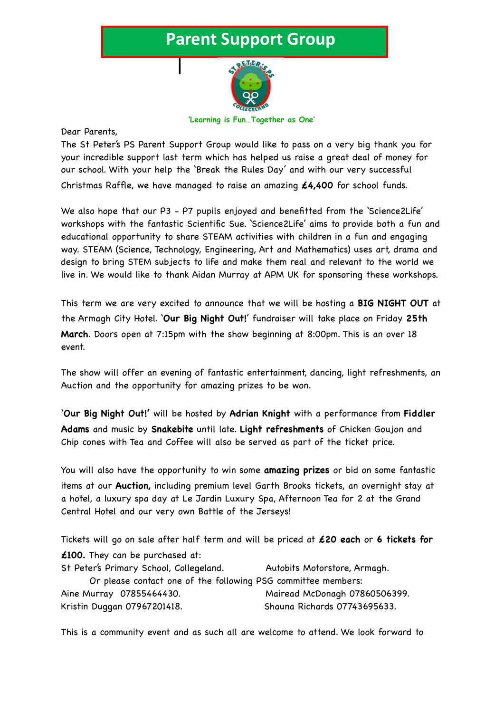## **Parent Support Group**



**'Learning is Fun…Together as One'**

Dear Parents,

The St Peter's PS Parent Support Group would like to pass on a very big thank you for your incredible support last term which has helped us raise a great deal of money for our school. With your help the 'Break the Rules Day' and with our very successful Christmas Raffle, we have managed to raise an amazing **£4,400** for school funds.

We also hope that our P3 - P7 pupils enjoyed and benefitted from the 'Science2Life' workshops with the fantastic Scientific Sue. 'Science2Life' aims to provide both a fun and educational opportunity to share STEAM activities with children in a fun and engaging way. STEAM (Science, Technology, Engineering, Art and Mathematics) uses art, drama and design to bring STEM subjects to life and make them real and relevant to the world we live in. We would like to thank Aidan Murray at APM UK for sponsoring these workshops.

This term we are very excited to announce that we will be hosting a **BIG NIGHT OUT** at the Armagh City Hotel. '**Our Big Night Out!**' fundraiser will take place on Friday **25th March**. Doors open at 7:15pm with the show beginning at 8:00pm. This is an over 18 event.

The show will offer an evening of fantastic entertainment, dancing, light refreshments, an Auction and the opportunity for amazing prizes to be won.

'**Our Big Night Out!'** will be hosted by **Adrian Knight** with a performance from **Fiddler Adams** and music by **Snakebite** until late. **Light refreshments** of Chicken Goujon and Chip cones with Tea and Coffee will also be served as part of the ticket price.

You will also have the opportunity to win some **amazing prizes** or bid on some fantastic items at our **Auction,** including premium level Garth Brooks tickets, an overnight stay at a hotel, a luxury spa day at Le Jardin Luxury Spa, Afternoon Tea for 2 at the Grand Central Hotel and our very own Battle of the Jerseys!

Tickets will go on sale after half term and will be priced at **£20 each** or **6 tickets for £100.** They can be purchased at: St Peter's Primary School, Collegeland. Autobits Motorstore, Armagh. Or please contact one of the following PSG committee members:

Aine Murray 07855464430. Mairead McDonagh 07860506399. Kristin Duggan 07967201418. Shauna Richards 07743695633.

This is a community event and as such all are welcome to attend. We look forward to